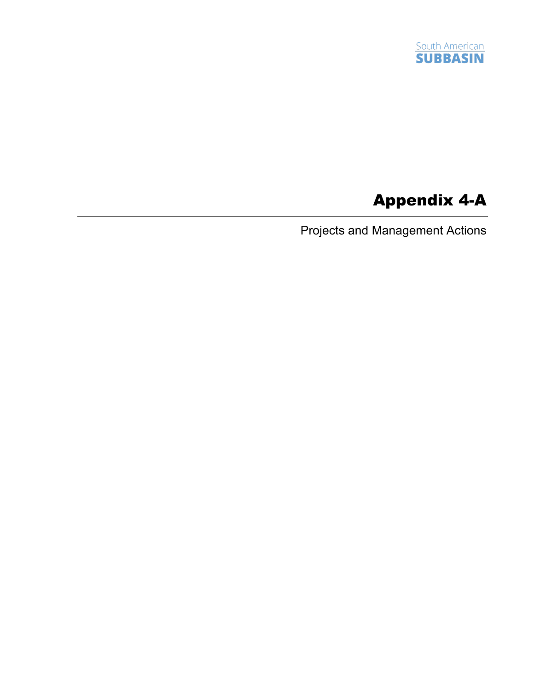

## Appendix 4-A

Projects and Management Actions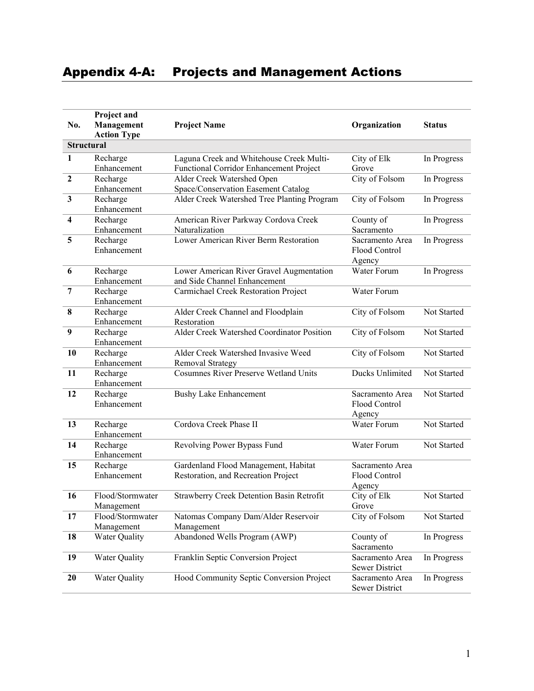## Appendix 4-A: Projects and Management Actions

|                         | Project and             |                                                           |                 |               |
|-------------------------|-------------------------|-----------------------------------------------------------|-----------------|---------------|
| No.                     | Management              | <b>Project Name</b>                                       | Organization    | <b>Status</b> |
|                         | <b>Action Type</b>      |                                                           |                 |               |
|                         | <b>Structural</b>       |                                                           |                 |               |
| 1                       | Recharge                | Laguna Creek and Whitehouse Creek Multi-                  | City of Elk     | In Progress   |
|                         | Enhancement             | Functional Corridor Enhancement Project                   | Grove           |               |
| $\overline{2}$          | Recharge                | Alder Creek Watershed Open                                | City of Folsom  | In Progress   |
|                         | Enhancement             | Space/Conservation Easement Catalog                       |                 |               |
| $\mathbf{3}$            | Recharge                | Alder Creek Watershed Tree Planting Program               | City of Folsom  | In Progress   |
|                         | Enhancement             |                                                           |                 |               |
| $\overline{\mathbf{4}}$ | Recharge                | American River Parkway Cordova Creek                      | County of       | In Progress   |
|                         | Enhancement             | Naturalization                                            | Sacramento      |               |
| 5                       | Recharge                | Lower American River Berm Restoration                     | Sacramento Area | In Progress   |
|                         | Enhancement             |                                                           | Flood Control   |               |
|                         |                         |                                                           | Agency          |               |
| 6                       | Recharge                | Lower American River Gravel Augmentation                  | Water Forum     | In Progress   |
|                         | Enhancement             | and Side Channel Enhancement                              |                 |               |
| $\overline{7}$          | Recharge                | Carmichael Creek Restoration Project                      | Water Forum     |               |
|                         | Enhancement             |                                                           |                 |               |
| 8                       | Recharge<br>Enhancement | Alder Creek Channel and Floodplain                        | City of Folsom  | Not Started   |
| 9                       |                         | Restoration<br>Alder Creek Watershed Coordinator Position | City of Folsom  |               |
|                         | Recharge<br>Enhancement |                                                           |                 | Not Started   |
| 10                      | Recharge                | Alder Creek Watershed Invasive Weed                       | City of Folsom  | Not Started   |
|                         | Enhancement             | Removal Strategy                                          |                 |               |
| 11                      | Recharge                | <b>Cosumnes River Preserve Wetland Units</b>              | Ducks Unlimited | Not Started   |
|                         | Enhancement             |                                                           |                 |               |
| 12                      | Recharge                | <b>Bushy Lake Enhancement</b>                             | Sacramento Area | Not Started   |
|                         | Enhancement             |                                                           | Flood Control   |               |
|                         |                         |                                                           | Agency          |               |
| 13                      | Recharge                | Cordova Creek Phase II                                    | Water Forum     | Not Started   |
|                         | Enhancement             |                                                           |                 |               |
| 14                      | Recharge                | Revolving Power Bypass Fund                               | Water Forum     | Not Started   |
|                         | Enhancement             |                                                           |                 |               |
| 15                      | Recharge                | Gardenland Flood Management, Habitat                      | Sacramento Area |               |
|                         | Enhancement             | Restoration, and Recreation Project                       | Flood Control   |               |
|                         |                         |                                                           | Agency          |               |
| 16                      | Flood/Stormwater        | Strawberry Creek Detention Basin Retrofit                 | City of Elk     | Not Started   |
|                         | Management              |                                                           | Grove           |               |
| 17                      | Flood/Stormwater        | Natomas Company Dam/Alder Reservoir                       | City of Folsom  | Not Started   |
|                         | Management              | Management                                                |                 |               |
| 18                      | Water Quality           | Abandoned Wells Program (AWP)                             | County of       | In Progress   |
|                         |                         |                                                           | Sacramento      |               |
| 19                      | Water Quality           | Franklin Septic Conversion Project                        | Sacramento Area | In Progress   |
|                         |                         |                                                           | Sewer District  |               |
| 20                      | Water Quality           | Hood Community Septic Conversion Project                  | Sacramento Area | In Progress   |
|                         |                         |                                                           | Sewer District  |               |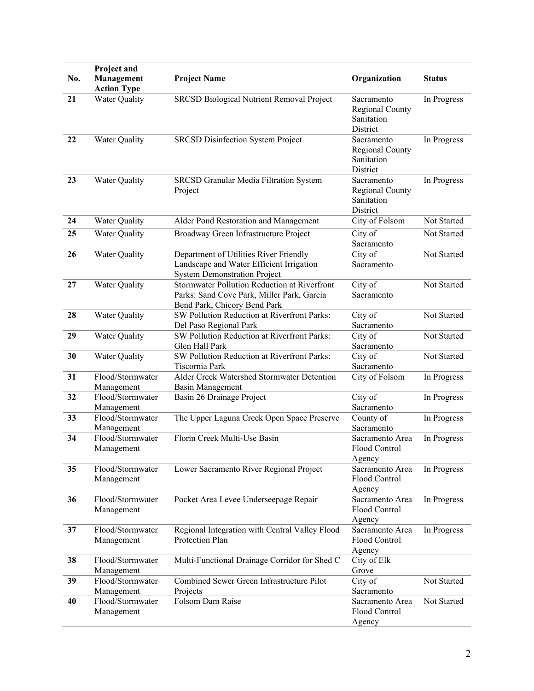|     | Project and          |                                                              |                 |               |
|-----|----------------------|--------------------------------------------------------------|-----------------|---------------|
| No. | Management           | <b>Project Name</b>                                          | Organization    | <b>Status</b> |
|     | <b>Action Type</b>   |                                                              |                 |               |
| 21  | Water Quality        | SRCSD Biological Nutrient Removal Project                    | Sacramento      | In Progress   |
|     |                      |                                                              | Regional County |               |
|     |                      |                                                              | Sanitation      |               |
|     |                      |                                                              | District        |               |
| 22  | Water Quality        | <b>SRCSD Disinfection System Project</b>                     | Sacramento      | In Progress   |
|     |                      |                                                              | Regional County |               |
|     |                      |                                                              | Sanitation      |               |
|     |                      |                                                              | District        |               |
| 23  | <b>Water Quality</b> | SRCSD Granular Media Filtration System                       | Sacramento      | In Progress   |
|     |                      | Project                                                      | Regional County |               |
|     |                      |                                                              | Sanitation      |               |
|     |                      |                                                              | District        |               |
| 24  | Water Quality        | Alder Pond Restoration and Management                        | City of Folsom  | Not Started   |
| 25  | Water Quality        | Broadway Green Infrastructure Project                        | City of         | Not Started   |
|     |                      |                                                              | Sacramento      |               |
| 26  | Water Quality        | Department of Utilities River Friendly                       | City of         | Not Started   |
|     |                      | Landscape and Water Efficient Irrigation                     | Sacramento      |               |
|     |                      | <b>System Demonstration Project</b>                          |                 |               |
| 27  | Water Quality        | Stormwater Pollution Reduction at Riverfront                 | City of         | Not Started   |
|     |                      | Parks: Sand Cove Park, Miller Park, Garcia                   | Sacramento      |               |
|     |                      | Bend Park, Chicory Bend Park                                 |                 |               |
| 28  | Water Quality        | SW Pollution Reduction at Riverfront Parks:                  | City of         | Not Started   |
|     |                      | Del Paso Regional Park                                       | Sacramento      |               |
| 29  | Water Quality        | SW Pollution Reduction at Riverfront Parks:                  | City of         | Not Started   |
|     |                      | Glen Hall Park                                               | Sacramento      |               |
| 30  | Water Quality        | SW Pollution Reduction at Riverfront Parks:                  | City of         | Not Started   |
| 31  | Flood/Stormwater     | Tiscornia Park<br>Alder Creek Watershed Stormwater Detention | Sacramento      |               |
|     | Management           | Basin Management                                             | City of Folsom  | In Progress   |
| 32  | Flood/Stormwater     | Basin 26 Drainage Project                                    | City of         | In Progress   |
|     | Management           |                                                              | Sacramento      |               |
| 33  | Flood/Stormwater     | The Upper Laguna Creek Open Space Preserve                   | County of       | In Progress   |
|     | Management           |                                                              | Sacramento      |               |
| 34  | Flood/Stormwater     | Florin Creek Multi-Use Basin                                 | Sacramento Area | In Progress   |
|     | Management           |                                                              | Flood Control   |               |
|     |                      |                                                              | Agency          |               |
| 35  | Flood/Stormwater     | Lower Sacramento River Regional Project                      | Sacramento Area | In Progress   |
|     | Management           |                                                              | Flood Control   |               |
|     |                      |                                                              | Agency          |               |
| 36  | Flood/Stormwater     | Pocket Area Levee Underseepage Repair                        | Sacramento Area | In Progress   |
|     | Management           |                                                              | Flood Control   |               |
|     |                      |                                                              | Agency          |               |
| 37  | Flood/Stormwater     | Regional Integration with Central Valley Flood               | Sacramento Area | In Progress   |
|     | Management           | Protection Plan                                              | Flood Control   |               |
|     |                      |                                                              | Agency          |               |
| 38  | Flood/Stormwater     | Multi-Functional Drainage Corridor for Shed C                | City of Elk     |               |
|     | Management           |                                                              | Grove           |               |
| 39  | Flood/Stormwater     | Combined Sewer Green Infrastructure Pilot                    | City of         | Not Started   |
|     | Management           | Projects                                                     | Sacramento      |               |
| 40  | Flood/Stormwater     | Folsom Dam Raise                                             | Sacramento Area | Not Started   |
|     | Management           |                                                              | Flood Control   |               |
|     |                      |                                                              | Agency          |               |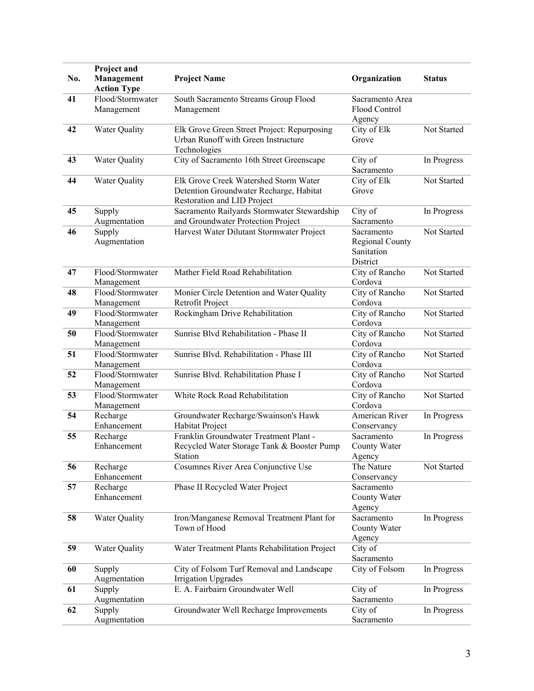|     | Project and                      |                                                     |                                  |               |
|-----|----------------------------------|-----------------------------------------------------|----------------------------------|---------------|
| No. | Management<br><b>Action Type</b> | <b>Project Name</b>                                 | Organization                     | <b>Status</b> |
| 41  | Flood/Stormwater                 | South Sacramento Streams Group Flood                | Sacramento Area                  |               |
|     | Management                       | Management                                          | Flood Control                    |               |
|     |                                  |                                                     | Agency                           |               |
| 42  | Water Quality                    | Elk Grove Green Street Project: Repurposing         | City of Elk                      | Not Started   |
|     |                                  | Urban Runoff with Green Instructure<br>Technologies | Grove                            |               |
| 43  | Water Quality                    | City of Sacramento 16th Street Greenscape           | City of                          | In Progress   |
|     |                                  |                                                     | Sacramento                       |               |
| 44  | Water Quality                    | Elk Grove Creek Watershed Storm Water               | City of Elk                      | Not Started   |
|     |                                  | Detention Groundwater Recharge, Habitat             | Grove                            |               |
|     |                                  | Restoration and LID Project                         |                                  |               |
| 45  | Supply                           | Sacramento Railyards Stormwater Stewardship         | City of                          | In Progress   |
|     | Augmentation                     | and Groundwater Protection Project                  | Sacramento                       |               |
| 46  | Supply                           | Harvest Water Dilutant Stormwater Project           | Sacramento                       | Not Started   |
|     | Augmentation                     |                                                     | Regional County<br>Sanitation    |               |
|     |                                  |                                                     | District                         |               |
| 47  | Flood/Stormwater                 | Mather Field Road Rehabilitation                    | City of Rancho                   | Not Started   |
|     | Management                       |                                                     | Cordova                          |               |
| 48  | Flood/Stormwater                 | Monier Circle Detention and Water Quality           | City of Rancho                   | Not Started   |
|     | Management                       | Retrofit Project                                    | Cordova                          |               |
| 49  | Flood/Stormwater                 | Rockingham Drive Rehabilitation                     | City of Rancho                   | Not Started   |
| 50  | Management<br>Flood/Stormwater   | Sunrise Blvd Rehabilitation - Phase II              | Cordova<br>City of Rancho        | Not Started   |
|     | Management                       |                                                     | Cordova                          |               |
| 51  | Flood/Stormwater                 | Sunrise Blvd. Rehabilitation - Phase III            | City of Rancho                   | Not Started   |
|     | Management                       |                                                     | Cordova                          |               |
| 52  | Flood/Stormwater                 | Sunrise Blvd. Rehabilitation Phase I                | City of Rancho                   | Not Started   |
|     | Management                       |                                                     | Cordova                          |               |
| 53  | Flood/Stormwater                 | White Rock Road Rehabilitation                      | City of Rancho                   | Not Started   |
| 54  | Management<br>Recharge           | Groundwater Recharge/Swainson's Hawk                | Cordova<br><b>American River</b> | In Progress   |
|     | Enhancement                      | Habitat Project                                     | Conservancy                      |               |
| 55  | Recharge                         | Franklin Groundwater Treatment Plant -              | Sacramento                       | In Progress   |
|     | Enhancement                      | Recycled Water Storage Tank & Booster Pump          | County Water                     |               |
|     |                                  | Station                                             | Agency                           |               |
| 56  | Recharge                         | Cosumnes River Area Conjunctive Use                 | The Nature                       | Not Started   |
| 57  | Enhancement<br>Recharge          | Phase II Recycled Water Project                     | Conservancy<br>Sacramento        |               |
|     | Enhancement                      |                                                     | County Water                     |               |
|     |                                  |                                                     | Agency                           |               |
| 58  | Water Quality                    | Iron/Manganese Removal Treatment Plant for          | Sacramento                       | In Progress   |
|     |                                  | Town of Hood                                        | County Water                     |               |
|     |                                  |                                                     | Agency                           |               |
| 59  | Water Quality                    | Water Treatment Plants Rehabilitation Project       | City of                          |               |
| 60  |                                  | City of Folsom Turf Removal and Landscape           | Sacramento<br>City of Folsom     |               |
|     | Supply<br>Augmentation           | <b>Irrigation Upgrades</b>                          |                                  | In Progress   |
| 61  | Supply                           | E. A. Fairbairn Groundwater Well                    | City of                          | In Progress   |
|     | Augmentation                     |                                                     | Sacramento                       |               |
| 62  | Supply                           | Groundwater Well Recharge Improvements              | City of                          | In Progress   |
|     | Augmentation                     |                                                     | Sacramento                       |               |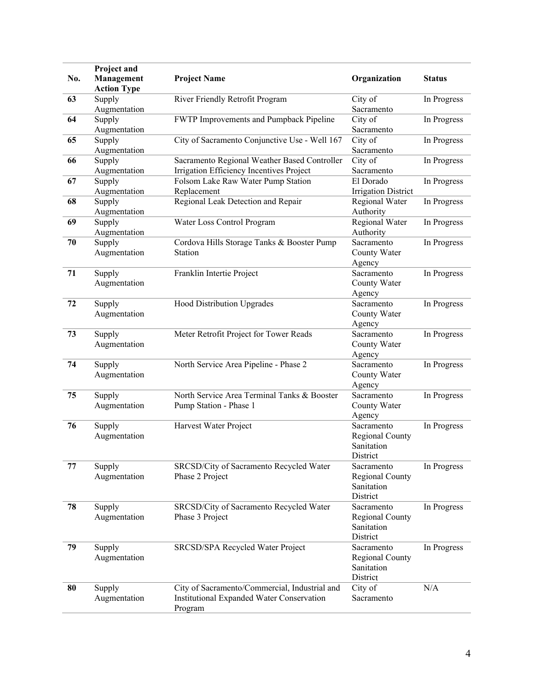| No. | Project and<br>Management<br><b>Action Type</b> | <b>Project Name</b>                                                                                   | Organization                                            | <b>Status</b> |
|-----|-------------------------------------------------|-------------------------------------------------------------------------------------------------------|---------------------------------------------------------|---------------|
| 63  | Supply<br>Augmentation                          | River Friendly Retrofit Program                                                                       | City of<br>Sacramento                                   | In Progress   |
| 64  | Supply<br>Augmentation                          | FWTP Improvements and Pumpback Pipeline                                                               | City of<br>Sacramento                                   | In Progress   |
| 65  | Supply<br>Augmentation                          | City of Sacramento Conjunctive Use - Well 167                                                         | City of<br>Sacramento                                   | In Progress   |
| 66  | Supply<br>Augmentation                          | Sacramento Regional Weather Based Controller<br>Irrigation Efficiency Incentives Project              | City of<br>Sacramento                                   | In Progress   |
| 67  | Supply<br>Augmentation                          | Folsom Lake Raw Water Pump Station<br>Replacement                                                     | El Dorado<br><b>Irrigation District</b>                 | In Progress   |
| 68  | Supply<br>Augmentation                          | Regional Leak Detection and Repair                                                                    | Regional Water<br>Authority                             | In Progress   |
| 69  | Supply<br>Augmentation                          | Water Loss Control Program                                                                            | Regional Water<br>Authority                             | In Progress   |
| 70  | Supply<br>Augmentation                          | Cordova Hills Storage Tanks & Booster Pump<br>Station                                                 | Sacramento<br>County Water<br>Agency                    | In Progress   |
| 71  | Supply<br>Augmentation                          | Franklin Intertie Project                                                                             | Sacramento<br>County Water<br>Agency                    | In Progress   |
| 72  | Supply<br>Augmentation                          | Hood Distribution Upgrades                                                                            | Sacramento<br>County Water<br>Agency                    | In Progress   |
| 73  | Supply<br>Augmentation                          | Meter Retrofit Project for Tower Reads                                                                | Sacramento<br>County Water<br>Agency                    | In Progress   |
| 74  | Supply<br>Augmentation                          | North Service Area Pipeline - Phase 2                                                                 | Sacramento<br>County Water<br>Agency                    | In Progress   |
| 75  | Supply<br>Augmentation                          | North Service Area Terminal Tanks & Booster<br>Pump Station - Phase 1                                 | Sacramento<br>County Water<br>Agency                    | In Progress   |
| 76  | Supply<br>Augmentation                          | Harvest Water Project                                                                                 | Sacramento<br>Regional County<br>Sanitation<br>District | In Progress   |
| 77  | Supply<br>Augmentation                          | SRCSD/City of Sacramento Recycled Water<br>Phase 2 Project                                            | Sacramento<br>Regional County<br>Sanitation<br>District | In Progress   |
| 78  | Supply<br>Augmentation                          | SRCSD/City of Sacramento Recycled Water<br>Phase 3 Project                                            | Sacramento<br>Regional County<br>Sanitation<br>District | In Progress   |
| 79  | Supply<br>Augmentation                          | SRCSD/SPA Recycled Water Project                                                                      | Sacramento<br>Regional County<br>Sanitation<br>District | In Progress   |
| 80  | Supply<br>Augmentation                          | City of Sacramento/Commercial, Industrial and<br>Institutional Expanded Water Conservation<br>Program | City of<br>Sacramento                                   | N/A           |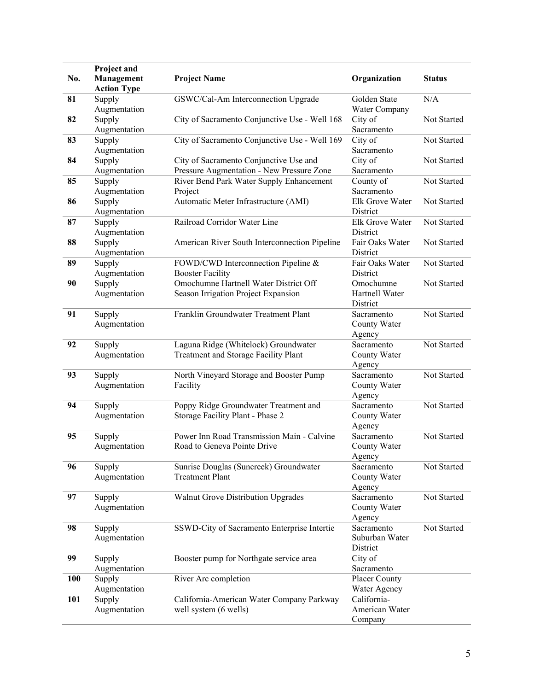|            | Project and            |                                               |                 |               |
|------------|------------------------|-----------------------------------------------|-----------------|---------------|
| No.        | Management             | <b>Project Name</b>                           | Organization    | <b>Status</b> |
|            | <b>Action Type</b>     |                                               |                 |               |
| 81         | Supply                 | GSWC/Cal-Am Interconnection Upgrade           | Golden State    | N/A           |
|            | Augmentation           |                                               | Water Company   |               |
| 82         | Supply                 | City of Sacramento Conjunctive Use - Well 168 | City of         | Not Started   |
|            | Augmentation           |                                               | Sacramento      |               |
| 83         | Supply                 | City of Sacramento Conjunctive Use - Well 169 | City of         | Not Started   |
|            | Augmentation           |                                               | Sacramento      |               |
| 84         | Supply                 | City of Sacramento Conjunctive Use and        | City of         | Not Started   |
|            | Augmentation           | Pressure Augmentation - New Pressure Zone     | Sacramento      |               |
| 85         | Supply                 | River Bend Park Water Supply Enhancement      | County of       | Not Started   |
|            | Augmentation           | Project                                       | Sacramento      |               |
| 86         | Supply                 | Automatic Meter Infrastructure (AMI)          | Elk Grove Water | Not Started   |
|            | Augmentation           |                                               | District        |               |
| 87         | Supply                 | Railroad Corridor Water Line                  | Elk Grove Water | Not Started   |
|            | Augmentation           |                                               | District        |               |
| 88         | Supply                 | American River South Interconnection Pipeline | Fair Oaks Water | Not Started   |
|            | Augmentation           |                                               | District        |               |
| 89         | Supply                 | FOWD/CWD Interconnection Pipeline &           | Fair Oaks Water | Not Started   |
|            | Augmentation           | <b>Booster Facility</b>                       | District        |               |
| 90         |                        | Omochumne Hartnell Water District Off         | Omochumne       | Not Started   |
|            | Supply<br>Augmentation | Season Irrigation Project Expansion           | Hartnell Water  |               |
|            |                        |                                               | District        |               |
|            |                        | Franklin Groundwater Treatment Plant          |                 | Not Started   |
| 91         | Supply                 |                                               | Sacramento      |               |
|            | Augmentation           |                                               | County Water    |               |
|            |                        |                                               | Agency          |               |
| 92         | Supply                 | Laguna Ridge (Whitelock) Groundwater          | Sacramento      | Not Started   |
|            | Augmentation           | Treatment and Storage Facility Plant          | County Water    |               |
|            |                        |                                               | Agency          |               |
| 93         | Supply                 | North Vineyard Storage and Booster Pump       | Sacramento      | Not Started   |
|            | Augmentation           | Facility                                      | County Water    |               |
|            |                        |                                               | Agency          |               |
| 94         | Supply                 | Poppy Ridge Groundwater Treatment and         | Sacramento      | Not Started   |
|            | Augmentation           | Storage Facility Plant - Phase 2              | County Water    |               |
|            |                        |                                               | Agency          |               |
| 95         | Supply                 | Power Inn Road Transmission Main - Calvine    | Sacramento      | Not Started   |
|            | Augmentation           | Road to Geneva Pointe Drive                   | County Water    |               |
|            |                        |                                               | Agency          |               |
| 96         | Supply                 | Sunrise Douglas (Suncreek) Groundwater        | Sacramento      | Not Started   |
|            | Augmentation           | <b>Treatment Plant</b>                        | County Water    |               |
|            |                        |                                               | Agency          |               |
| 97         | Supply                 | Walnut Grove Distribution Upgrades            | Sacramento      | Not Started   |
|            | Augmentation           |                                               | County Water    |               |
|            |                        |                                               | Agency          |               |
| 98         | Supply                 | SSWD-City of Sacramento Enterprise Intertie   | Sacramento      | Not Started   |
|            | Augmentation           |                                               | Suburban Water  |               |
|            |                        |                                               | District        |               |
| 99         | Supply                 | Booster pump for Northgate service area       | City of         |               |
|            | Augmentation           |                                               | Sacramento      |               |
| <b>100</b> | Supply                 | River Arc completion                          | Placer County   |               |
|            | Augmentation           |                                               | Water Agency    |               |
| 101        | Supply                 | California-American Water Company Parkway     | California-     |               |
|            | Augmentation           | well system (6 wells)                         | American Water  |               |
|            |                        |                                               | Company         |               |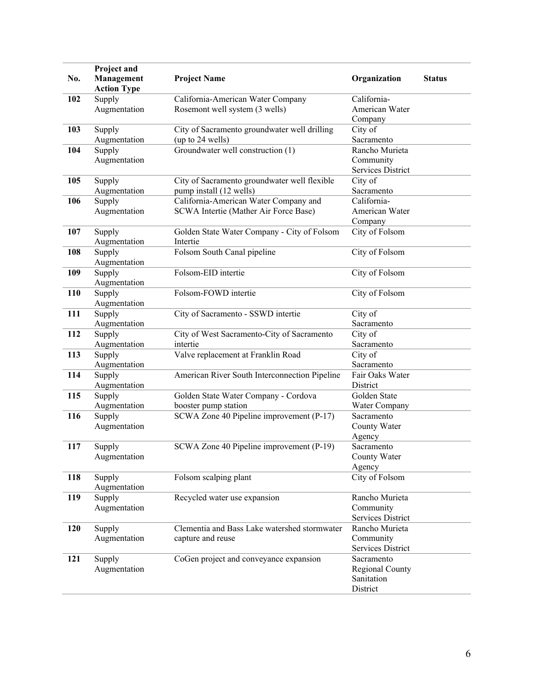| No. | Project and<br>Management<br><b>Action Type</b> | <b>Project Name</b>                                                            | Organization                                            | <b>Status</b> |
|-----|-------------------------------------------------|--------------------------------------------------------------------------------|---------------------------------------------------------|---------------|
| 102 | Supply<br>Augmentation                          | California-American Water Company<br>Rosemont well system (3 wells)            | California-<br>American Water<br>Company                |               |
| 103 | Supply<br>Augmentation                          | City of Sacramento groundwater well drilling<br>(up to 24 wells)               | City of<br>Sacramento                                   |               |
| 104 | Supply<br>Augmentation                          | Groundwater well construction (1)                                              | Rancho Murieta<br>Community<br>Services District        |               |
| 105 | Supply<br>Augmentation                          | City of Sacramento groundwater well flexible<br>pump install (12 wells)        | City of<br>Sacramento                                   |               |
| 106 | Supply<br>Augmentation                          | California-American Water Company and<br>SCWA Intertie (Mather Air Force Base) | California-<br>American Water<br>Company                |               |
| 107 | Supply<br>Augmentation                          | Golden State Water Company - City of Folsom<br>Intertie                        | City of Folsom                                          |               |
| 108 | Supply<br>Augmentation                          | Folsom South Canal pipeline                                                    | City of Folsom                                          |               |
| 109 | Supply<br>Augmentation                          | Folsom-EID intertie                                                            | City of Folsom                                          |               |
| 110 | Supply<br>Augmentation                          | Folsom-FOWD intertie                                                           | City of Folsom                                          |               |
| 111 | Supply<br>Augmentation                          | City of Sacramento - SSWD intertie                                             | City of<br>Sacramento                                   |               |
| 112 | Supply<br>Augmentation                          | City of West Sacramento-City of Sacramento<br>intertie                         | City of<br>Sacramento                                   |               |
| 113 | Supply<br>Augmentation                          | Valve replacement at Franklin Road                                             | City of<br>Sacramento                                   |               |
| 114 | Supply<br>Augmentation                          | American River South Interconnection Pipeline                                  | Fair Oaks Water<br>District                             |               |
| 115 | Supply<br>Augmentation                          | Golden State Water Company - Cordova<br>booster pump station                   | Golden State<br>Water Company                           |               |
| 116 | Supply<br>Augmentation                          | SCWA Zone 40 Pipeline improvement (P-17)                                       | Sacramento<br>County Water<br>Agency                    |               |
| 117 | Supply<br>Augmentation                          | SCWA Zone 40 Pipeline improvement (P-19)                                       | Sacramento<br>County Water<br>Agency                    |               |
| 118 | Supply<br>Augmentation                          | Folsom scalping plant                                                          | City of Folsom                                          |               |
| 119 | Supply<br>Augmentation                          | Recycled water use expansion                                                   | Rancho Murieta<br>Community<br><b>Services District</b> |               |
| 120 | Supply<br>Augmentation                          | Clementia and Bass Lake watershed stormwater<br>capture and reuse              | Rancho Murieta<br>Community<br><b>Services District</b> |               |
| 121 | Supply<br>Augmentation                          | CoGen project and conveyance expansion                                         | Sacramento<br>Regional County<br>Sanitation<br>District |               |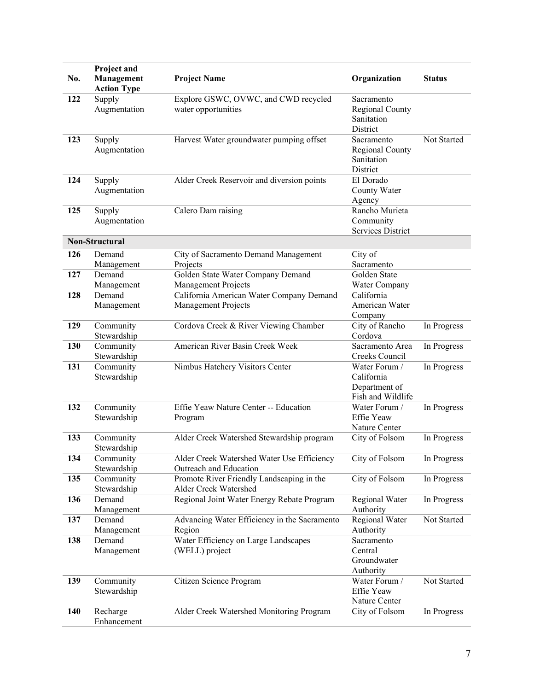| No. | Project and<br>Management<br><b>Action Type</b> | <b>Project Name</b>                                                  | Organization                                                      | <b>Status</b> |
|-----|-------------------------------------------------|----------------------------------------------------------------------|-------------------------------------------------------------------|---------------|
| 122 | Supply<br>Augmentation                          | Explore GSWC, OVWC, and CWD recycled<br>water opportunities          | Sacramento<br>Regional County<br>Sanitation<br>District           |               |
| 123 | Supply<br>Augmentation                          | Harvest Water groundwater pumping offset                             | Sacramento<br>Regional County<br>Sanitation<br>District           | Not Started   |
| 124 | Supply<br>Augmentation                          | Alder Creek Reservoir and diversion points                           | El Dorado<br>County Water<br>Agency                               |               |
| 125 | Supply<br>Augmentation                          | Calero Dam raising                                                   | Rancho Murieta<br>Community<br><b>Services District</b>           |               |
|     | <b>Non-Structural</b>                           |                                                                      |                                                                   |               |
| 126 | Demand<br>Management                            | City of Sacramento Demand Management<br>Projects                     | City of<br>Sacramento                                             |               |
| 127 | Demand<br>Management                            | Golden State Water Company Demand<br>Management Projects             | Golden State<br>Water Company                                     |               |
| 128 | Demand                                          | California American Water Company Demand                             | California                                                        |               |
|     | Management                                      | <b>Management Projects</b>                                           | American Water<br>Company                                         |               |
| 129 | Community<br>Stewardship                        | Cordova Creek & River Viewing Chamber                                | City of Rancho<br>Cordova                                         | In Progress   |
| 130 | Community<br>Stewardship                        | American River Basin Creek Week                                      | Sacramento Area<br>Creeks Council                                 | In Progress   |
| 131 | Community<br>Stewardship                        | Nimbus Hatchery Visitors Center                                      | Water Forum /<br>California<br>Department of<br>Fish and Wildlife | In Progress   |
| 132 | Community<br>Stewardship                        | Effie Yeaw Nature Center -- Education<br>Program                     | Water Forum /<br>Effie Yeaw<br>Nature Center                      | In Progress   |
| 133 | Community<br>Stewardship                        | Alder Creek Watershed Stewardship program                            | City of Folsom                                                    | In Progress   |
| 134 | Community<br>Stewardship                        | Alder Creek Watershed Water Use Efficiency<br>Outreach and Education | City of Folsom                                                    | In Progress   |
| 135 | Community<br>Stewardship                        | Promote River Friendly Landscaping in the<br>Alder Creek Watershed   | City of Folsom                                                    | In Progress   |
| 136 | Demand<br>Management                            | Regional Joint Water Energy Rebate Program                           | Regional Water<br>Authority                                       | In Progress   |
| 137 | Demand<br>Management                            | Advancing Water Efficiency in the Sacramento<br>Region               | Regional Water<br>Authority                                       | Not Started   |
| 138 | Demand<br>Management                            | Water Efficiency on Large Landscapes<br>(WELL) project               | Sacramento<br>Central<br>Groundwater<br>Authority                 |               |
| 139 | Community<br>Stewardship                        | Citizen Science Program                                              | Water Forum /<br>Effie Yeaw<br>Nature Center                      | Not Started   |
| 140 | Recharge<br>Enhancement                         | Alder Creek Watershed Monitoring Program                             | City of Folsom                                                    | In Progress   |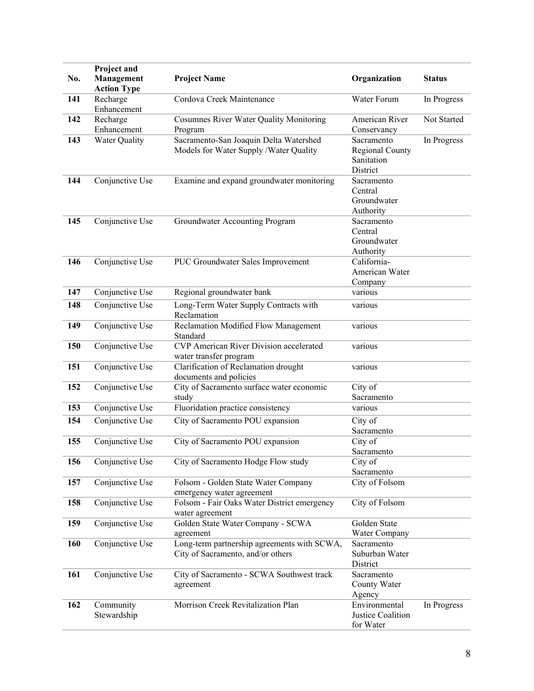| No. | Project and<br>Management<br><b>Action Type</b> | <b>Project Name</b>                                            | Organization               | <b>Status</b> |
|-----|-------------------------------------------------|----------------------------------------------------------------|----------------------------|---------------|
| 141 | Recharge                                        | Cordova Creek Maintenance                                      | Water Forum                | In Progress   |
|     | Enhancement                                     |                                                                |                            |               |
| 142 | Recharge                                        | Cosumnes River Water Quality Monitoring                        | American River             | Not Started   |
|     | Enhancement                                     | Program                                                        | Conservancy                |               |
| 143 | <b>Water Quality</b>                            | Sacramento-San Joaquin Delta Watershed                         | Sacramento                 | In Progress   |
|     |                                                 | Models for Water Supply /Water Quality                         | Regional County            |               |
|     |                                                 |                                                                | Sanitation                 |               |
|     |                                                 |                                                                | District                   |               |
| 144 | Conjunctive Use                                 | Examine and expand groundwater monitoring                      | Sacramento                 |               |
|     |                                                 |                                                                | Central                    |               |
|     |                                                 |                                                                | Groundwater                |               |
|     |                                                 |                                                                | Authority                  |               |
| 145 | Conjunctive Use                                 | Groundwater Accounting Program                                 | Sacramento                 |               |
|     |                                                 |                                                                | Central<br>Groundwater     |               |
|     |                                                 |                                                                | Authority                  |               |
| 146 | Conjunctive Use                                 | PUC Groundwater Sales Improvement                              | California-                |               |
|     |                                                 |                                                                | American Water             |               |
|     |                                                 |                                                                | Company                    |               |
| 147 | Conjunctive Use                                 | Regional groundwater bank                                      | various                    |               |
| 148 | Conjunctive Use                                 | Long-Term Water Supply Contracts with                          | various                    |               |
|     |                                                 | Reclamation                                                    |                            |               |
| 149 | Conjunctive Use                                 | Reclamation Modified Flow Management                           | various                    |               |
| 150 |                                                 | Standard<br>CVP American River Division accelerated            | various                    |               |
|     | Conjunctive Use                                 | water transfer program                                         |                            |               |
| 151 | Conjunctive Use                                 | Clarification of Reclamation drought                           | various                    |               |
|     |                                                 | documents and policies                                         |                            |               |
| 152 | Conjunctive Use                                 | City of Sacramento surface water economic                      | City of                    |               |
|     |                                                 | study                                                          | Sacramento                 |               |
| 153 | Conjunctive Use                                 | Fluoridation practice consistency                              | various                    |               |
| 154 | Conjunctive Use                                 | City of Sacramento POU expansion                               | City of                    |               |
|     |                                                 |                                                                | Sacramento                 |               |
| 155 | Conjunctive Use                                 | City of Sacramento POU expansion                               | City of                    |               |
|     |                                                 |                                                                | Sacramento                 |               |
| 156 | Conjunctive Use                                 | City of Sacramento Hodge Flow study                            | City of                    |               |
|     |                                                 |                                                                | Sacramento                 |               |
| 157 | Conjunctive Use                                 | Folsom - Golden State Water Company                            | City of Folsom             |               |
|     |                                                 | emergency water agreement                                      |                            |               |
| 158 | Conjunctive Use                                 | Folsom - Fair Oaks Water District emergency<br>water agreement | City of Folsom             |               |
| 159 | Conjunctive Use                                 | Golden State Water Company - SCWA                              | Golden State               |               |
|     |                                                 | agreement                                                      | Water Company              |               |
| 160 | Conjunctive Use                                 | Long-term partnership agreements with SCWA,                    | Sacramento                 |               |
|     |                                                 | City of Sacramento, and/or others                              | Suburban Water<br>District |               |
| 161 | Conjunctive Use                                 | City of Sacramento - SCWA Southwest track                      | Sacramento                 |               |
|     |                                                 | agreement                                                      | County Water               |               |
|     |                                                 |                                                                | Agency                     |               |
| 162 | Community                                       | Morrison Creek Revitalization Plan                             | Environmental              | In Progress   |
|     | Stewardship                                     |                                                                | Justice Coalition          |               |
|     |                                                 |                                                                | for Water                  |               |